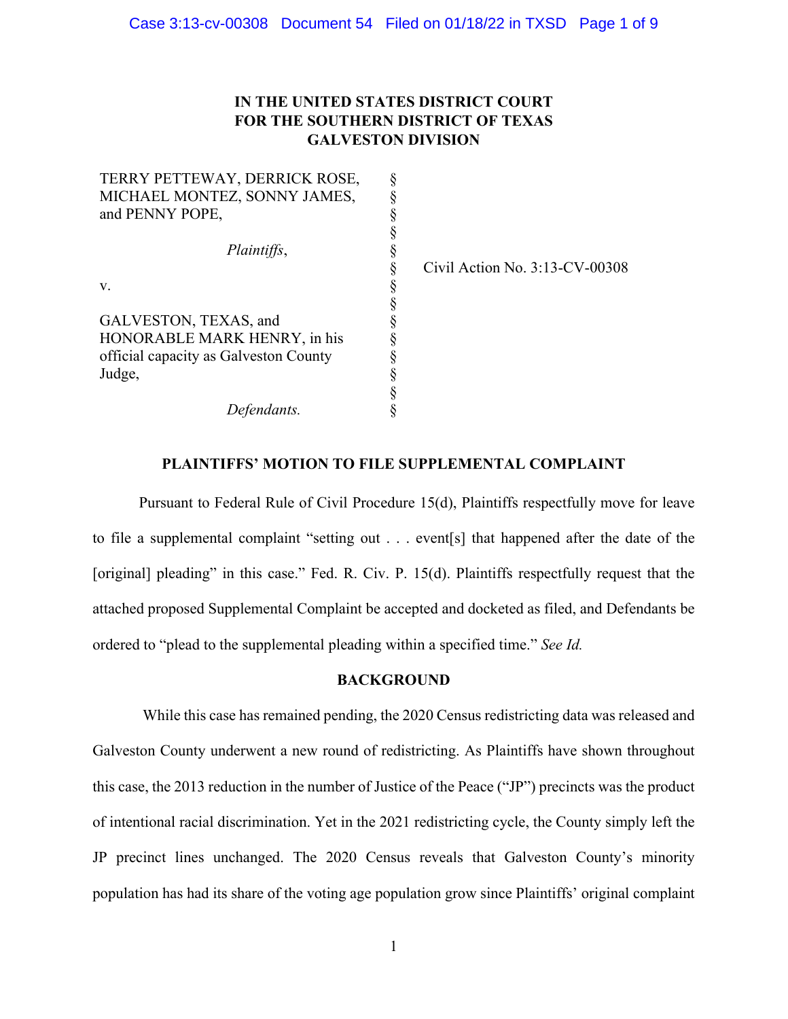## **IN THE UNITED STATES DISTRICT COURT FOR THE SOUTHERN DISTRICT OF TEXAS GALVESTON DIVISION**

| TERRY PETTEWAY, DERRICK ROSE,         | ş      |
|---------------------------------------|--------|
| MICHAEL MONTEZ, SONNY JAMES,          | §      |
| and PENNY POPE,                       | ş      |
|                                       | ş      |
| Plaintiffs,                           |        |
|                                       | ş      |
| V.                                    | §      |
|                                       | §      |
| GALVESTON, TEXAS, and                 | ş      |
| HONORABLE MARK HENRY, in his          | ş      |
| official capacity as Galveston County | §      |
| Judge,                                |        |
|                                       | §<br>§ |
| Defendants.                           |        |

Civil Action No. 3:13-CV-00308

### **PLAINTIFFS' MOTION TO FILE SUPPLEMENTAL COMPLAINT**

Pursuant to Federal Rule of Civil Procedure 15(d), Plaintiffs respectfully move for leave to file a supplemental complaint "setting out . . . event[s] that happened after the date of the [original] pleading" in this case." Fed. R. Civ. P. 15(d). Plaintiffs respectfully request that the attached proposed Supplemental Complaint be accepted and docketed as filed, and Defendants be ordered to "plead to the supplemental pleading within a specified time." *See Id.*

### **BACKGROUND**

While this case has remained pending, the 2020 Census redistricting data was released and Galveston County underwent a new round of redistricting. As Plaintiffs have shown throughout this case, the 2013 reduction in the number of Justice of the Peace ("JP") precincts was the product of intentional racial discrimination. Yet in the 2021 redistricting cycle, the County simply left the JP precinct lines unchanged. The 2020 Census reveals that Galveston County's minority population has had its share of the voting age population grow since Plaintiffs' original complaint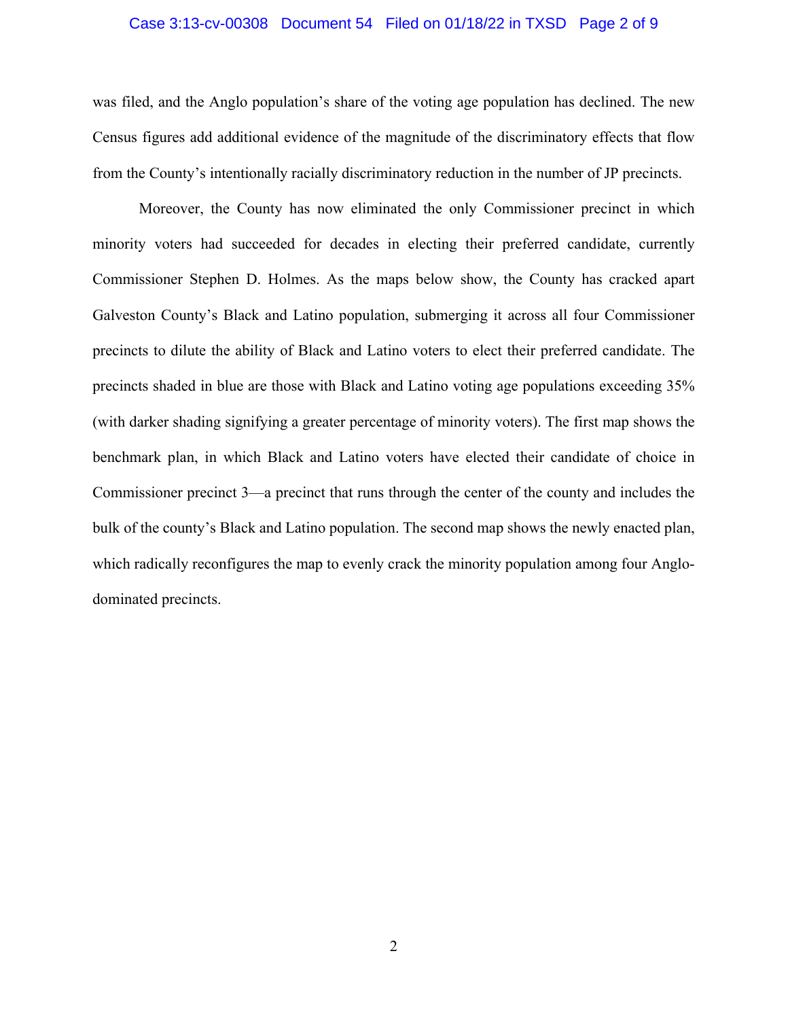### Case 3:13-cv-00308 Document 54 Filed on 01/18/22 in TXSD Page 2 of 9

was filed, and the Anglo population's share of the voting age population has declined. The new Census figures add additional evidence of the magnitude of the discriminatory effects that flow from the County's intentionally racially discriminatory reduction in the number of JP precincts.

Moreover, the County has now eliminated the only Commissioner precinct in which minority voters had succeeded for decades in electing their preferred candidate, currently Commissioner Stephen D. Holmes. As the maps below show, the County has cracked apart Galveston County's Black and Latino population, submerging it across all four Commissioner precincts to dilute the ability of Black and Latino voters to elect their preferred candidate. The precincts shaded in blue are those with Black and Latino voting age populations exceeding 35% (with darker shading signifying a greater percentage of minority voters). The first map shows the benchmark plan, in which Black and Latino voters have elected their candidate of choice in Commissioner precinct 3—a precinct that runs through the center of the county and includes the bulk of the county's Black and Latino population. The second map shows the newly enacted plan, which radically reconfigures the map to evenly crack the minority population among four Anglodominated precincts.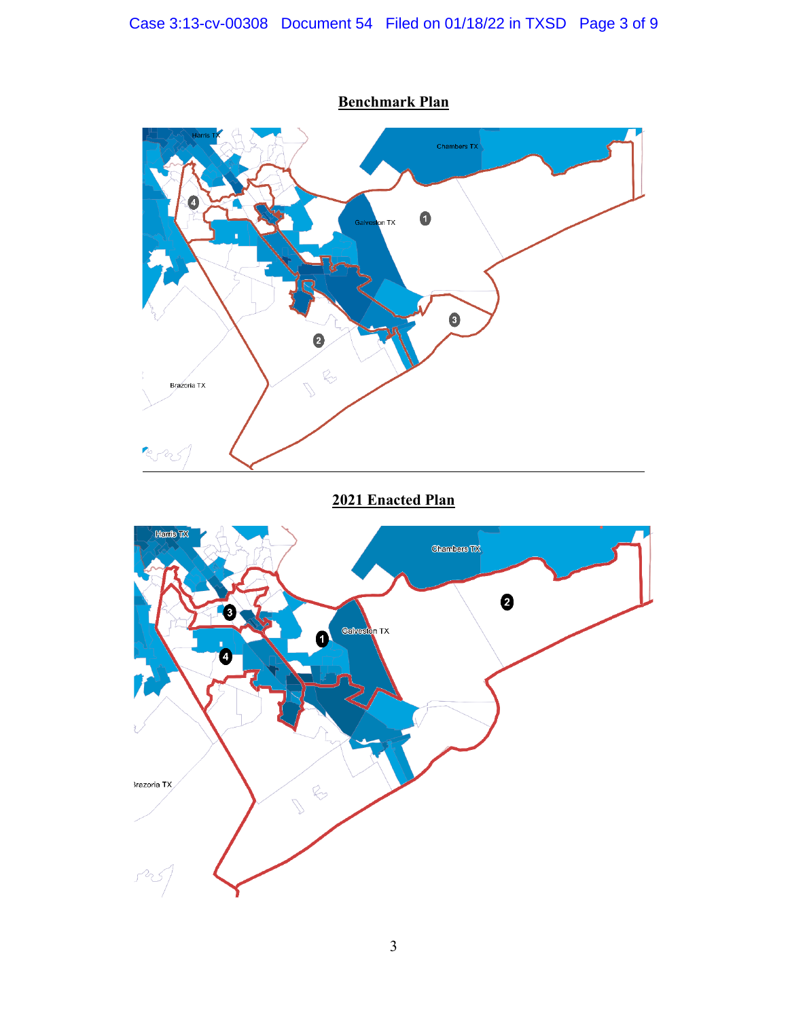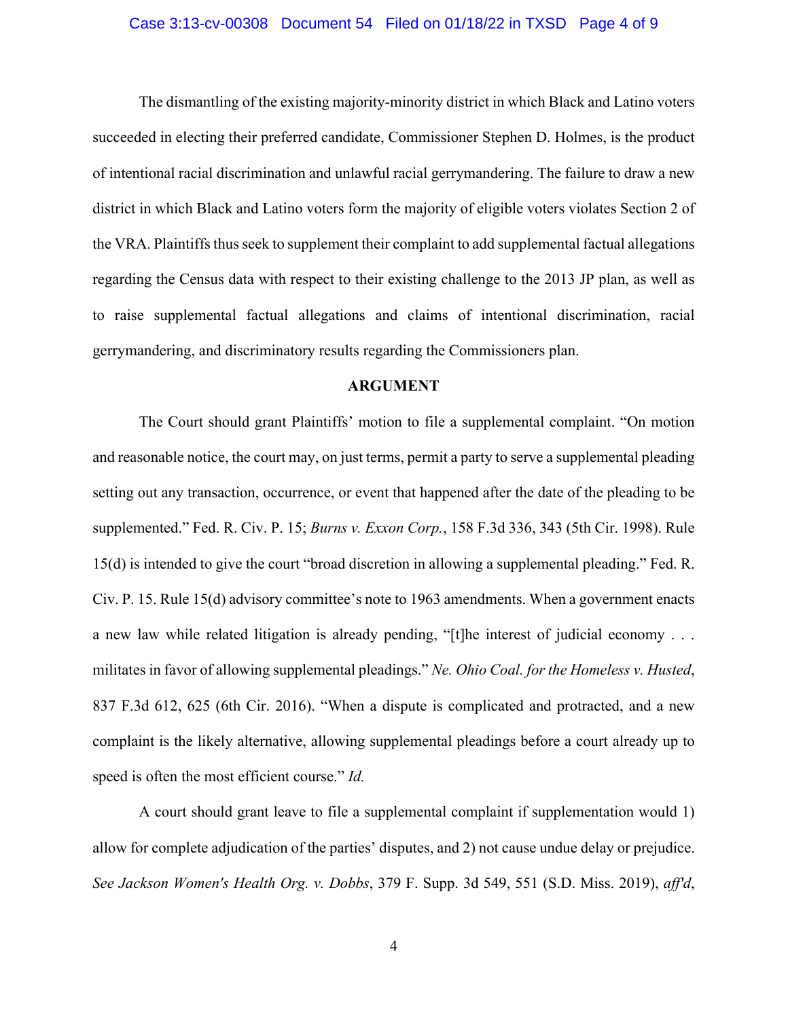### Case 3:13-cv-00308 Document 54 Filed on 01/18/22 in TXSD Page 4 of 9

The dismantling of the existing majority-minority district in which Black and Latino voters succeeded in electing their preferred candidate, Commissioner Stephen D. Holmes, is the product of intentional racial discrimination and unlawful racial gerrymandering. The failure to draw a new district in which Black and Latino voters form the majority of eligible voters violates Section 2 of the VRA. Plaintiffs thus seek to supplement their complaint to add supplemental factual allegations regarding the Census data with respect to their existing challenge to the 2013 JP plan, as well as to raise supplemental factual allegations and claims of intentional discrimination, racial gerrymandering, and discriminatory results regarding the Commissioners plan.

### **ARGUMENT**

The Court should grant Plaintiffs' motion to file a supplemental complaint. "On motion and reasonable notice, the court may, on just terms, permit a party to serve a supplemental pleading setting out any transaction, occurrence, or event that happened after the date of the pleading to be supplemented." Fed. R. Civ. P. 15; *Burns v. Exxon Corp.*, 158 F.3d 336, 343 (5th Cir. 1998). Rule 15(d) is intended to give the court "broad discretion in allowing a supplemental pleading." Fed. R. Civ. P. 15. Rule 15(d) advisory committee's note to 1963 amendments. When a government enacts a new law while related litigation is already pending, "[t]he interest of judicial economy . . . militates in favor of allowing supplemental pleadings." *Ne. Ohio Coal. for the Homeless v. Husted*, 837 F.3d 612, 625 (6th Cir. 2016). "When a dispute is complicated and protracted, and a new complaint is the likely alternative, allowing supplemental pleadings before a court already up to speed is often the most efficient course." *Id.*

A court should grant leave to file a supplemental complaint if supplementation would 1) allow for complete adjudication of the parties' disputes, and 2) not cause undue delay or prejudice. *See Jackson Women's Health Org. v. Dobbs*, 379 F. Supp. 3d 549, 551 (S.D. Miss. 2019), *aff'd*,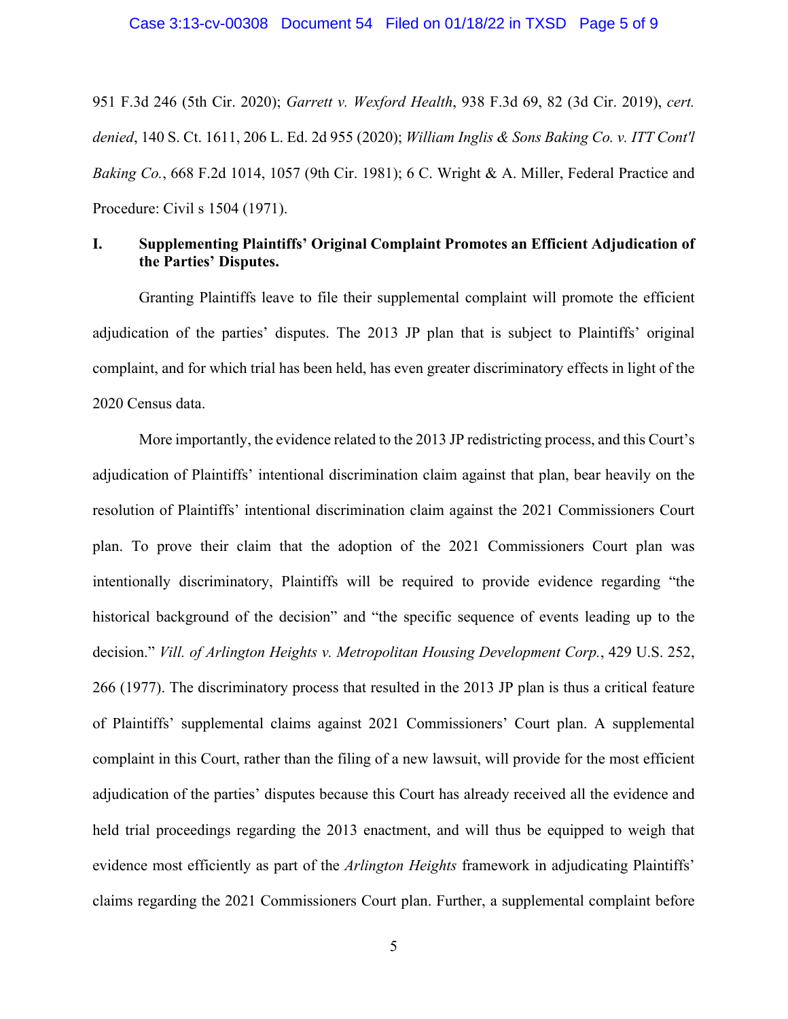951 F.3d 246 (5th Cir. 2020); *Garrett v. Wexford Health*, 938 F.3d 69, 82 (3d Cir. 2019), *cert. denied*, 140 S. Ct. 1611, 206 L. Ed. 2d 955 (2020); *William Inglis & Sons Baking Co. v. ITT Cont'l Baking Co.*, 668 F.2d 1014, 1057 (9th Cir. 1981); 6 C. Wright & A. Miller, Federal Practice and Procedure: Civil s 1504 (1971).

### **I. Supplementing Plaintiffs' Original Complaint Promotes an Efficient Adjudication of the Parties' Disputes.**

Granting Plaintiffs leave to file their supplemental complaint will promote the efficient adjudication of the parties' disputes. The 2013 JP plan that is subject to Plaintiffs' original complaint, and for which trial has been held, has even greater discriminatory effects in light of the 2020 Census data.

More importantly, the evidence related to the 2013 JP redistricting process, and this Court's adjudication of Plaintiffs' intentional discrimination claim against that plan, bear heavily on the resolution of Plaintiffs' intentional discrimination claim against the 2021 Commissioners Court plan. To prove their claim that the adoption of the 2021 Commissioners Court plan was intentionally discriminatory, Plaintiffs will be required to provide evidence regarding "the historical background of the decision" and "the specific sequence of events leading up to the decision." *Vill. of Arlington Heights v. Metropolitan Housing Development Corp.*, 429 U.S. 252, 266 (1977). The discriminatory process that resulted in the 2013 JP plan is thus a critical feature of Plaintiffs' supplemental claims against 2021 Commissioners' Court plan. A supplemental complaint in this Court, rather than the filing of a new lawsuit, will provide for the most efficient adjudication of the parties' disputes because this Court has already received all the evidence and held trial proceedings regarding the 2013 enactment, and will thus be equipped to weigh that evidence most efficiently as part of the *Arlington Heights* framework in adjudicating Plaintiffs' claims regarding the 2021 Commissioners Court plan. Further, a supplemental complaint before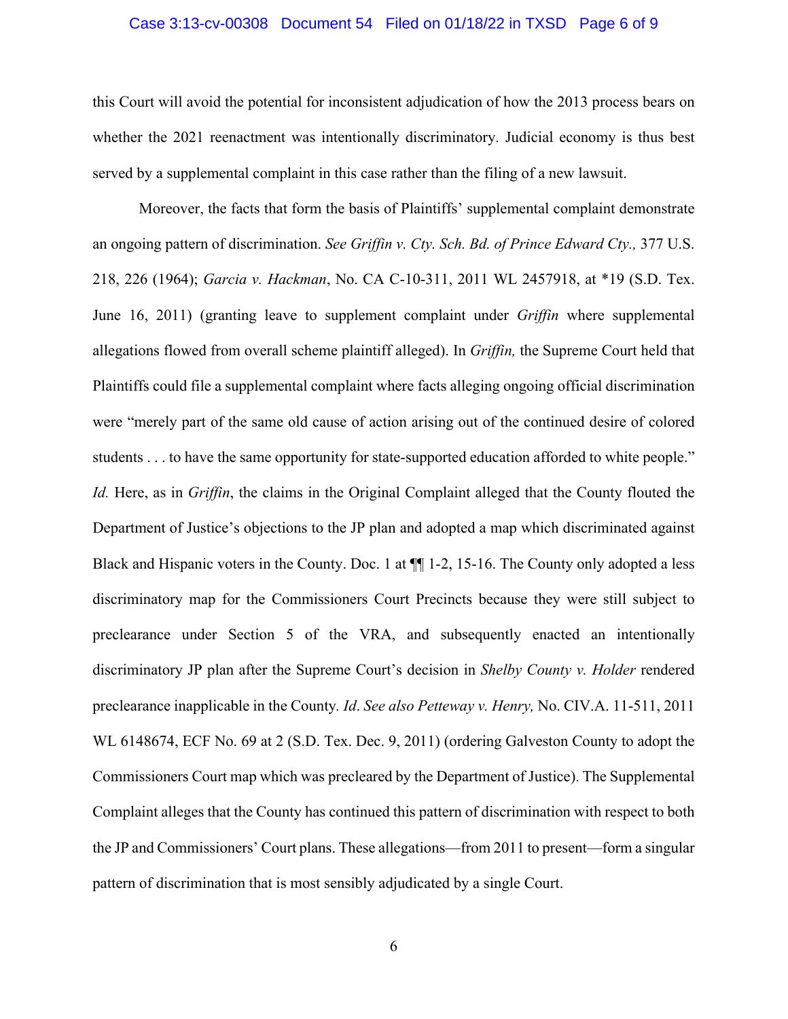### Case 3:13-cv-00308 Document 54 Filed on 01/18/22 in TXSD Page 6 of 9

this Court will avoid the potential for inconsistent adjudication of how the 2013 process bears on whether the 2021 reenactment was intentionally discriminatory. Judicial economy is thus best served by a supplemental complaint in this case rather than the filing of a new lawsuit.

Moreover, the facts that form the basis of Plaintiffs' supplemental complaint demonstrate an ongoing pattern of discrimination. *See Griffin v. Cty. Sch. Bd. of Prince Edward Cty.,* 377 U.S. 218, 226 (1964); *Garcia v. Hackman*, No. CA C-10-311, 2011 WL 2457918, at \*19 (S.D. Tex. June 16, 2011) (granting leave to supplement complaint under *Griffin* where supplemental allegations flowed from overall scheme plaintiff alleged). In *Griffin,* the Supreme Court held that Plaintiffs could file a supplemental complaint where facts alleging ongoing official discrimination were "merely part of the same old cause of action arising out of the continued desire of colored students . . . to have the same opportunity for state-supported education afforded to white people." *Id.* Here, as in *Griffin*, the claims in the Original Complaint alleged that the County flouted the Department of Justice's objections to the JP plan and adopted a map which discriminated against Black and Hispanic voters in the County. Doc. 1 at ¶¶ 1-2, 15-16. The County only adopted a less discriminatory map for the Commissioners Court Precincts because they were still subject to preclearance under Section 5 of the VRA, and subsequently enacted an intentionally discriminatory JP plan after the Supreme Court's decision in *Shelby County v. Holder* rendered preclearance inapplicable in the County*. Id*. *See also Petteway v. Henry,* No. CIV.A. 11-511, 2011 WL 6148674, ECF No. 69 at 2 (S.D. Tex. Dec. 9, 2011) (ordering Galveston County to adopt the Commissioners Court map which was precleared by the Department of Justice). The Supplemental Complaint alleges that the County has continued this pattern of discrimination with respect to both the JP and Commissioners' Court plans. These allegations—from 2011 to present—form a singular pattern of discrimination that is most sensibly adjudicated by a single Court.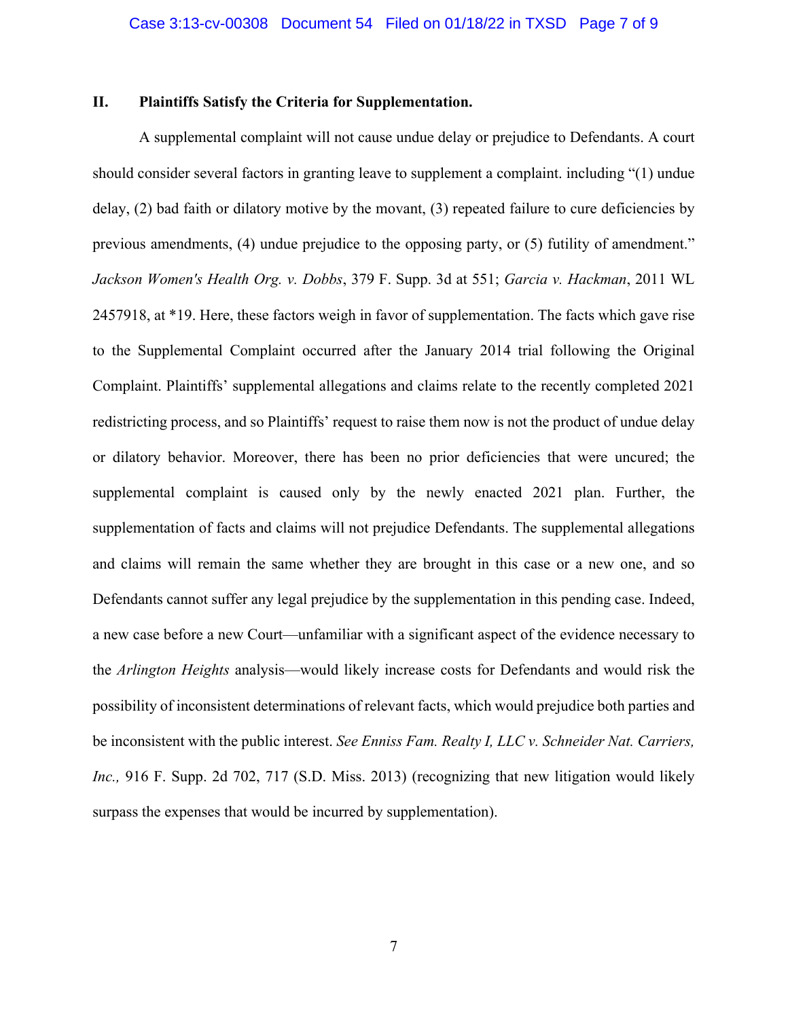### **II. Plaintiffs Satisfy the Criteria for Supplementation.**

A supplemental complaint will not cause undue delay or prejudice to Defendants. A court should consider several factors in granting leave to supplement a complaint. including "(1) undue delay,  $(2)$  bad faith or dilatory motive by the movant,  $(3)$  repeated failure to cure deficiencies by previous amendments, (4) undue prejudice to the opposing party, or (5) futility of amendment." *Jackson Women's Health Org. v. Dobbs*, 379 F. Supp. 3d at 551; *Garcia v. Hackman*, 2011 WL 2457918, at \*19. Here, these factors weigh in favor of supplementation. The facts which gave rise to the Supplemental Complaint occurred after the January 2014 trial following the Original Complaint. Plaintiffs' supplemental allegations and claims relate to the recently completed 2021 redistricting process, and so Plaintiffs' request to raise them now is not the product of undue delay or dilatory behavior. Moreover, there has been no prior deficiencies that were uncured; the supplemental complaint is caused only by the newly enacted 2021 plan. Further, the supplementation of facts and claims will not prejudice Defendants. The supplemental allegations and claims will remain the same whether they are brought in this case or a new one, and so Defendants cannot suffer any legal prejudice by the supplementation in this pending case. Indeed, a new case before a new Court—unfamiliar with a significant aspect of the evidence necessary to the *Arlington Heights* analysis—would likely increase costs for Defendants and would risk the possibility of inconsistent determinations of relevant facts, which would prejudice both parties and be inconsistent with the public interest. *See Enniss Fam. Realty I, LLC v. Schneider Nat. Carriers, Inc.,* 916 F. Supp. 2d 702, 717 (S.D. Miss. 2013) (recognizing that new litigation would likely surpass the expenses that would be incurred by supplementation).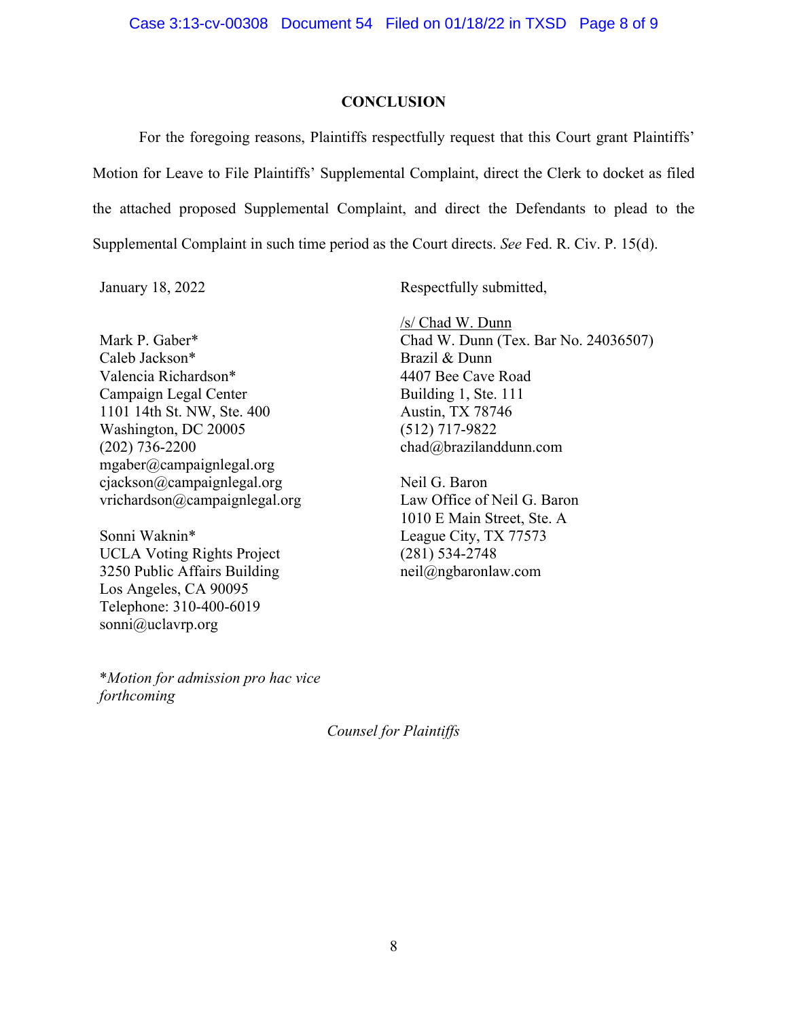### **CONCLUSION**

For the foregoing reasons, Plaintiffs respectfully request that this Court grant Plaintiffs' Motion for Leave to File Plaintiffs' Supplemental Complaint, direct the Clerk to docket as filed the attached proposed Supplemental Complaint, and direct the Defendants to plead to the Supplemental Complaint in such time period as the Court directs. *See* Fed. R. Civ. P. 15(d).

Mark P. Gaber\* Caleb Jackson\* Valencia Richardson\* Campaign Legal Center 1101 14th St. NW, Ste. 400 Washington, DC 20005 (202) 736-2200 mgaber@campaignlegal.org cjackson@campaignlegal.org vrichardson@campaignlegal.org

Sonni Waknin\* UCLA Voting Rights Project 3250 Public Affairs Building Los Angeles, CA 90095 Telephone: 310-400-6019 sonni@uclavrp.org

\**Motion for admission pro hac vice forthcoming*

January 18, 2022 Respectfully submitted,

 $/s$  Chad W. Dunn Chad W. Dunn (Tex. Bar No. 24036507) Brazil & Dunn 4407 Bee Cave Road Building 1, Ste. 111 Austin, TX 78746 (512) 717-9822 chad@brazilanddunn.com

Neil G. Baron Law Office of Neil G. Baron 1010 E Main Street, Ste. A League City, TX 77573 (281) 534-2748 neil@ngbaronlaw.com

*Counsel for Plaintiffs*